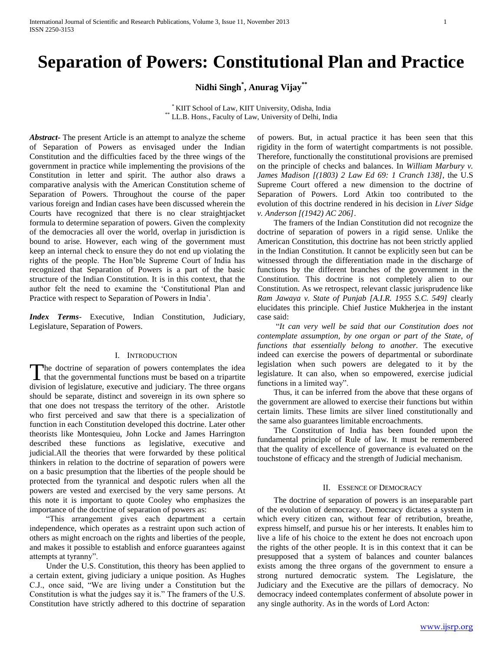# **Separation of Powers: Constitutional Plan and Practice**

**Nidhi Singh\* , Anurag Vijay\*\***

\* KIIT School of Law, KIIT University, Odisha, India \*\* LL.B. Hons., Faculty of Law, University of Delhi, India

*Abstract***-** The present Article is an attempt to analyze the scheme of Separation of Powers as envisaged under the Indian Constitution and the difficulties faced by the three wings of the government in practice while implementing the provisions of the Constitution in letter and spirit. The author also draws a comparative analysis with the American Constitution scheme of Separation of Powers. Throughout the course of the paper various foreign and Indian cases have been discussed wherein the Courts have recognized that there is no clear straightjacket formula to determine separation of powers. Given the complexity of the democracies all over the world, overlap in jurisdiction is bound to arise. However, each wing of the government must keep an internal check to ensure they do not end up violating the rights of the people. The Hon'ble Supreme Court of India has recognized that Separation of Powers is a part of the basic structure of the Indian Constitution. It is in this context, that the author felt the need to examine the 'Constitutional Plan and Practice with respect to Separation of Powers in India'.

*Index Terms*- Executive, Indian Constitution, Judiciary, Legislature, Separation of Powers.

# I. INTRODUCTION

he doctrine of separation of powers contemplates the idea The doctrine of separation of powers contemplates the idea<br>that the governmental functions must be based on a tripartite<br> $\sum_{n=1}^{\infty}$ division of legislature, executive and judiciary. The three organs should be separate, distinct and sovereign in its own sphere so that one does not trespass the territory of the other. Aristotle who first perceived and saw that there is a specialization of function in each Constitution developed this doctrine. Later other theorists like Montesquieu, John Locke and James Harrington described these functions as legislative, executive and judicial.All the theories that were forwarded by these political thinkers in relation to the doctrine of separation of powers were on a basic presumption that the liberties of the people should be protected from the tyrannical and despotic rulers when all the powers are vested and exercised by the very same persons. At this note it is important to quote Cooley who emphasizes the importance of the doctrine of separation of powers as:

 "This arrangement gives each department a certain independence, which operates as a restraint upon such action of others as might encroach on the rights and liberties of the people, and makes it possible to establish and enforce guarantees against attempts at tyranny".

 Under the U.S. Constitution, this theory has been applied to a certain extent, giving judiciary a unique position. As Hughes C.J., once said, "We are living under a Constitution but the Constitution is what the judges say it is." The framers of the U.S. Constitution have strictly adhered to this doctrine of separation of powers. But, in actual practice it has been seen that this rigidity in the form of watertight compartments is not possible. Therefore, functionally the constitutional provisions are premised on the principle of checks and balances. In *William Marbury v. James Madison [(1803) 2 Law Ed 69: 1 Cranch 138],* the U.S Supreme Court offered a new dimension to the doctrine of Separation of Powers. Lord Atkin too contributed to the evolution of this doctrine rendered in his decision in *Liver Sidge v. Anderson [(1942) AC 206]*.

 The framers of the Indian Constitution did not recognize the doctrine of separation of powers in a rigid sense. Unlike the American Constitution, this doctrine has not been strictly applied in the Indian Constitution. It cannot be explicitly seen but can be witnessed through the differentiation made in the discharge of functions by the different branches of the government in the Constitution. This doctrine is not completely alien to our Constitution. As we retrospect, relevant classic jurisprudence like *Ram Jawaya v. State of Punjab [A.I.R. 1955 S.C. 549]* clearly elucidates this principle. Chief Justice Mukherjea in the instant case said:

 "*It can very well be said that our Constitution does not contemplate assumption, by one organ or part of the State, of functions that essentially belong to another.* The executive indeed can exercise the powers of departmental or subordinate legislation when such powers are delegated to it by the legislature. It can also, when so empowered, exercise judicial functions in a limited way".

 Thus, it can be inferred from the above that these organs of the government are allowed to exercise their functions but within certain limits. These limits are silver lined constitutionally and the same also guarantees limitable encroachments.

 The Constitution of India has been founded upon the fundamental principle of Rule of law. It must be remembered that the quality of excellence of governance is evaluated on the touchstone of efficacy and the strength of Judicial mechanism.

#### II. ESSENCE OF DEMOCRACY

 The doctrine of separation of powers is an inseparable part of the evolution of democracy. Democracy dictates a system in which every citizen can, without fear of retribution, breathe, express himself, and pursue his or her interests. It enables him to live a life of his choice to the extent he does not encroach upon the rights of the other people. It is in this context that it can be presupposed that a system of balances and counter balances exists among the three organs of the government to ensure a strong nurtured democratic system. The Legislature, the Judiciary and the Executive are the pillars of democracy. No democracy indeed contemplates conferment of absolute power in any single authority. As in the words of Lord Acton: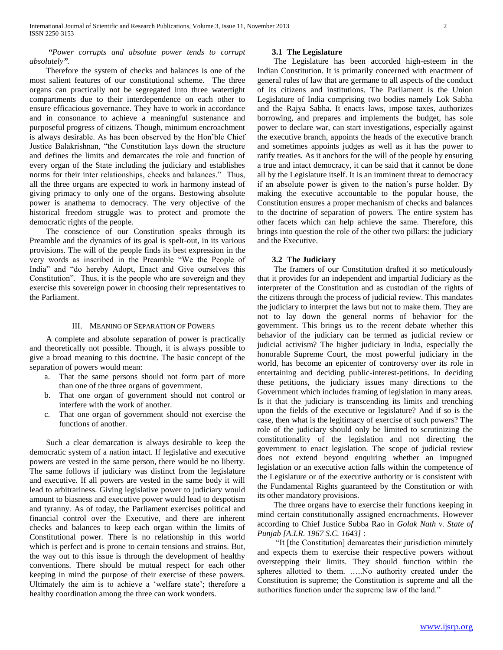# *"Power corrupts and absolute power tends to corrupt absolutely".*

 Therefore the system of checks and balances is one of the most salient features of our constitutional scheme. The three organs can practically not be segregated into three watertight compartments due to their interdependence on each other to ensure efficacious governance. They have to work in accordance and in consonance to achieve a meaningful sustenance and purposeful progress of citizens. Though, minimum encroachment is always desirable. As has been observed by the Hon'ble Chief Justice Balakrishnan, "the Constitution lays down the structure and defines the limits and demarcates the role and function of every organ of the State including the judiciary and establishes norms for their inter relationships, checks and balances." Thus, all the three organs are expected to work in harmony instead of giving primacy to only one of the organs. Bestowing absolute power is anathema to democracy. The very objective of the historical freedom struggle was to protect and promote the democratic rights of the people.

 The conscience of our Constitution speaks through its Preamble and the dynamics of its goal is spelt-out, in its various provisions. The will of the people finds its best expression in the very words as inscribed in the Preamble "We the People of India" and "do hereby Adopt, Enact and Give ourselves this Constitution". Thus, it is the people who are sovereign and they exercise this sovereign power in choosing their representatives to the Parliament.

#### III. MEANING OF SEPARATION OF POWERS

 A complete and absolute separation of power is practically and theoretically not possible. Though, it is always possible to give a broad meaning to this doctrine. The basic concept of the separation of powers would mean:

- a. That the same persons should not form part of more than one of the three organs of government.
- b. That one organ of government should not control or interfere with the work of another.
- c. That one organ of government should not exercise the functions of another.

 Such a clear demarcation is always desirable to keep the democratic system of a nation intact. If legislative and executive powers are vested in the same person, there would be no liberty. The same follows if judiciary was distinct from the legislature and executive. If all powers are vested in the same body it will lead to arbitrariness. Giving legislative power to judiciary would amount to biasness and executive power would lead to despotism and tyranny. As of today, the Parliament exercises political and financial control over the Executive, and there are inherent checks and balances to keep each organ within the limits of Constitutional power. There is no relationship in this world which is perfect and is prone to certain tensions and strains. But, the way out to this issue is through the development of healthy conventions. There should be mutual respect for each other keeping in mind the purpose of their exercise of these powers. Ultimately the aim is to achieve a 'welfare state'; therefore a healthy coordination among the three can work wonders.

# **3.1 The Legislature**

 The Legislature has been accorded high-esteem in the Indian Constitution. It is primarily concerned with enactment of general rules of law that are germane to all aspects of the conduct of its citizens and institutions. The Parliament is the Union Legislature of India comprising two bodies namely Lok Sabha and the Rajya Sabha. It enacts laws, impose taxes, authorizes borrowing, and prepares and implements the budget, has sole power to declare war, can start investigations, especially against the executive branch, appoints the heads of the executive branch and sometimes appoints judges as well as it has the power to ratify treaties. As it anchors for the will of the people by ensuring a true and intact democracy, it can be said that it cannot be done all by the Legislature itself. It is an imminent threat to democracy if an absolute power is given to the nation's purse holder. By making the executive accountable to the popular house, the Constitution ensures a proper mechanism of checks and balances to the doctrine of separation of powers. The entire system has other facets which can help achieve the same. Therefore, this brings into question the role of the other two pillars: the judiciary and the Executive.

# **3.2 The Judiciary**

 The framers of our Constitution drafted it so meticulously that it provides for an independent and impartial Judiciary as the interpreter of the Constitution and as custodian of the rights of the citizens through the process of judicial review. This mandates the judiciary to interpret the laws but not to make them. They are not to lay down the general norms of behavior for the government. This brings us to the recent debate whether this behavior of the judiciary can be termed as judicial review or judicial activism? The higher judiciary in India, especially the honorable Supreme Court, the most powerful judiciary in the world, has become an epicenter of controversy over its role in entertaining and deciding public-interest-petitions. In deciding these petitions, the judiciary issues many directions to the Government which includes framing of legislation in many areas. Is it that the judiciary is transcending its limits and trenching upon the fields of the executive or legislature? And if so is the case, then what is the legitimacy of exercise of such powers? The role of the judiciary should only be limited to scrutinizing the constitutionality of the legislation and not directing the government to enact legislation. The scope of judicial review does not extend beyond enquiring whether an impugned legislation or an executive action falls within the competence of the Legislature or of the executive authority or is consistent with the Fundamental Rights guaranteed by the Constitution or with its other mandatory provisions.

 The three organs have to exercise their functions keeping in mind certain constitutionally assigned encroachments. However according to Chief Justice Subba Rao in *Golak Nath v. State of Punjab [A.I.R. 1967 S.C. 1643]* :

 "It [the Constitution] demarcates their jurisdiction minutely and expects them to exercise their respective powers without overstepping their limits. They should function within the spheres allotted to them. …..No authority created under the Constitution is supreme; the Constitution is supreme and all the authorities function under the supreme law of the land."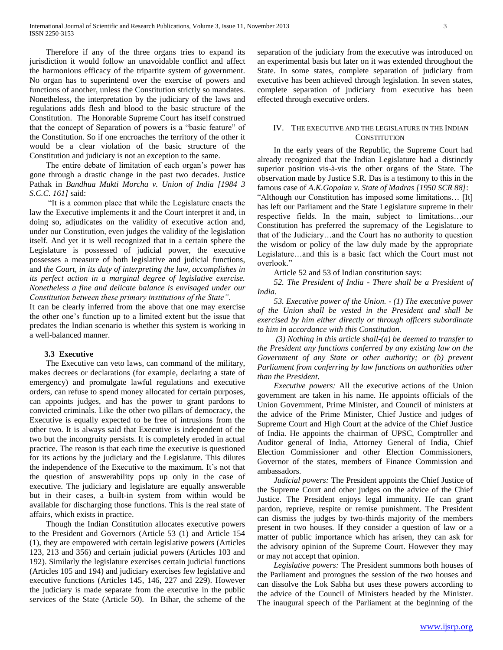Therefore if any of the three organs tries to expand its jurisdiction it would follow an unavoidable conflict and affect the harmonious efficacy of the tripartite system of government. No organ has to superintend over the exercise of powers and functions of another, unless the Constitution strictly so mandates. Nonetheless, the interpretation by the judiciary of the laws and regulations adds flesh and blood to the basic structure of the Constitution. The Honorable Supreme Court has itself construed that the concept of Separation of powers is a "basic feature" of the Constitution. So if one encroaches the territory of the other it would be a clear violation of the basic structure of the Constitution and judiciary is not an exception to the same.

 The entire debate of limitation of each organ's power has gone through a drastic change in the past two decades. Justice Pathak in *Bandhua Mukti Morcha v. Union of India [1984 3 S.C.C. 161]* said:

 "It is a common place that while the Legislature enacts the law the Executive implements it and the Court interpret it and, in doing so, adjudicates on the validity of executive action and, under our Constitution, even judges the validity of the legislation itself. And yet it is well recognized that in a certain sphere the Legislature is possessed of judicial power, the executive possesses a measure of both legislative and judicial functions, and *the Court, in its duty of interpreting the law, accomplishes in its perfect action in a marginal degree of legislative exercise. Nonetheless a fine and delicate balance is envisaged under our Constitution between these primary institutions of the State"*.

It can be clearly inferred from the above that one may exercise the other one's function up to a limited extent but the issue that predates the Indian scenario is whether this system is working in a well-balanced manner.

# **3.3 Executive**

 The Executive can veto laws, can command of the military, makes decrees or declarations (for example, declaring a state of emergency) and promulgate lawful regulations and executive orders, can refuse to spend money allocated for certain purposes, can appoints judges, and has the power to grant pardons to convicted criminals. Like the other two pillars of democracy, the Executive is equally expected to be free of intrusions from the other two. It is always said that Executive is independent of the two but the incongruity persists. It is completely eroded in actual practice. The reason is that each time the executive is questioned for its actions by the judiciary and the Legislature. This dilutes the independence of the Executive to the maximum. It's not that the question of answerability pops up only in the case of executive. The judiciary and legislature are equally answerable but in their cases, a built-in system from within would be available for discharging those functions. This is the real state of affairs, which exists in practice.

 Though the Indian Constitution allocates executive powers to the President and Governors (Article 53 (1) and Article 154 (1), they are empowered with certain legislative powers (Articles 123, 213 and 356) and certain judicial powers (Articles 103 and 192). Similarly the legislature exercises certain judicial functions (Articles 105 and 194) and judiciary exercises few legislative and executive functions (Articles 145, 146, 227 and 229). However the judiciary is made separate from the executive in the public services of the State (Article 50). In Bihar, the scheme of the

separation of the judiciary from the executive was introduced on an experimental basis but later on it was extended throughout the State. In some states, complete separation of judiciary from executive has been achieved through legislation. In seven states, complete separation of judiciary from executive has been effected through executive orders.

# IV. THE EXECUTIVE AND THE LEGISLATURE IN THE INDIAN **CONSTITUTION**

 In the early years of the Republic, the Supreme Court had already recognized that the Indian Legislature had a distinctly superior position vis-à-vis the other organs of the State. The observation made by Justice S.R. Das is a testimony to this in the famous case of *A.K.Gopalan v. State of Madras [1950 SCR 88]*: "Although our Constitution has imposed some limitations… [It] has left our Parliament and the State Legislature supreme in their respective fields. In the main, subject to limitations…our Constitution has preferred the supremacy of the Legislature to that of the Judiciary…and the Court has no authority to question the wisdom or policy of the law duly made by the appropriate Legislature…and this is a basic fact which the Court must not overlook."

Article 52 and 53 of Indian constitution says:

 *52. The President of India - There shall be a President of India.*

 *53. Executive power of the Union. - (1) The executive power of the Union shall be vested in the President and shall be exercised by him either directly or through officers subordinate to him in accordance with this Constitution.*

 *(3) Nothing in this article shall-(a) be deemed to transfer to the President any functions conferred by any existing law on the Government of any State or other authority; or (b) prevent Parliament from conferring by law functions on authorities other than the President*.

 *Executive powers:* All the executive actions of the Union government are taken in his name. He appoints officials of the Union Government, Prime Minister, and Council of ministers at the advice of the Prime Minister, Chief Justice and judges of Supreme Court and High Court at the advice of the Chief Justice of India. He appoints the chairman of UPSC, Comptroller and Auditor general of India, Attorney General of India, Chief Election Commissioner and other Election Commissioners, Governor of the states, members of Finance Commission and ambassadors.

 *Judicial powers:* The President appoints the Chief Justice of the Supreme Court and other judges on the advice of the Chief Justice. The President enjoys legal immunity. He can grant pardon, reprieve, respite or remise punishment. The President can dismiss the judges by two-thirds majority of the members present in two houses. If they consider a question of law or a matter of public importance which has arisen, they can ask for the advisory opinion of the Supreme Court. However they may or may not accept that opinion.

 *Legislative powers:* The President summons both houses of the Parliament and prorogues the session of the two houses and can dissolve the Lok Sabha but uses these powers according to the advice of the Council of Ministers headed by the Minister. The inaugural speech of the Parliament at the beginning of the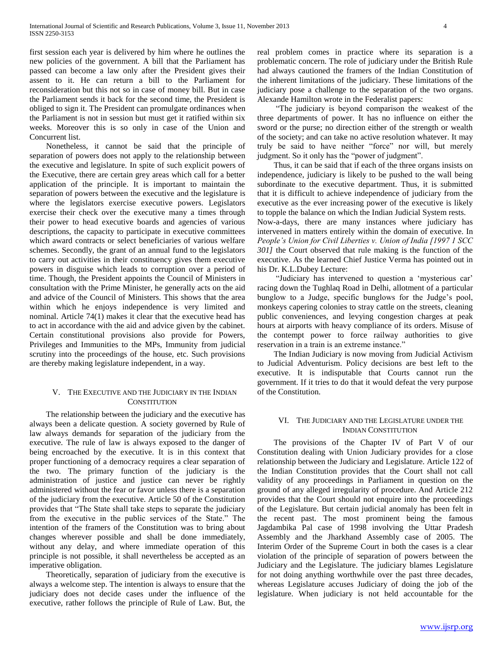first session each year is delivered by him where he outlines the new policies of the government. A bill that the Parliament has passed can become a law only after the President gives their assent to it. He can return a bill to the Parliament for reconsideration but this not so in case of money bill. But in case the Parliament sends it back for the second time, the President is obliged to sign it. The President can promulgate ordinances when the Parliament is not in session but must get it ratified within six weeks. Moreover this is so only in case of the Union and Concurrent list.

 Nonetheless, it cannot be said that the principle of separation of powers does not apply to the relationship between the executive and legislature. In spite of such explicit powers of the Executive, there are certain grey areas which call for a better application of the principle. It is important to maintain the separation of powers between the executive and the legislature is where the legislators exercise executive powers. Legislators exercise their check over the executive many a times through their power to head executive boards and agencies of various descriptions, the capacity to participate in executive committees which award contracts or select beneficiaries of various welfare schemes. Secondly, the grant of an annual fund to the legislators to carry out activities in their constituency gives them executive powers in disguise which leads to corruption over a period of time. Though, the President appoints the Council of Ministers in consultation with the Prime Minister, he generally acts on the aid and advice of the Council of Ministers. This shows that the area within which he enjoys independence is very limited and nominal. Article 74(1) makes it clear that the executive head has to act in accordance with the aid and advice given by the cabinet. Certain constitutional provisions also provide for Powers, Privileges and Immunities to the MPs, Immunity from judicial scrutiny into the proceedings of the house, etc. Such provisions are thereby making legislature independent, in a way.

# V. THE EXECUTIVE AND THE JUDICIARY IN THE INDIAN **CONSTITUTION**

 The relationship between the judiciary and the executive has always been a delicate question. A society governed by Rule of law always demands for separation of the judiciary from the executive. The rule of law is always exposed to the danger of being encroached by the executive. It is in this context that proper functioning of a democracy requires a clear separation of the two. The primary function of the judiciary is the administration of justice and justice can never be rightly administered without the fear or favor unless there is a separation of the judiciary from the executive. Article 50 of the Constitution provides that "The State shall take steps to separate the judiciary from the executive in the public services of the State." The intention of the framers of the Constitution was to bring about changes wherever possible and shall be done immediately, without any delay, and where immediate operation of this principle is not possible, it shall nevertheless be accepted as an imperative obligation.

 Theoretically, separation of judiciary from the executive is always a welcome step. The intention is always to ensure that the judiciary does not decide cases under the influence of the executive, rather follows the principle of Rule of Law. But, the

real problem comes in practice where its separation is a problematic concern. The role of judiciary under the British Rule had always cautioned the framers of the Indian Constitution of the inherent limitations of the judiciary. These limitations of the judiciary pose a challenge to the separation of the two organs. Alexande Hamilton wrote in the Federalist papers:

 "The judiciary is beyond comparison the weakest of the three departments of power. It has no influence on either the sword or the purse; no direction either of the strength or wealth of the society; and can take no active resolution whatever. It may truly be said to have neither "force" nor will, but merely judgment. So it only has the "power of judgment".

 Thus, it can be said that if each of the three organs insists on independence, judiciary is likely to be pushed to the wall being subordinate to the executive department. Thus, it is submitted that it is difficult to achieve independence of judiciary from the executive as the ever increasing power of the executive is likely to topple the balance on which the Indian Judicial System rests. Now-a-days, there are many instances where judiciary has intervened in matters entirely within the domain of executive. In *People's Union for Civil Liberties v. Union of India [1997 1 SCC* 

*301]* the Court observed that rule making is the function of the executive. As the learned Chief Justice Verma has pointed out in his Dr. K.L.Dubey Lecture: "Judiciary has intervened to question a 'mysterious car' racing down the Tughlaq Road in Delhi, allotment of a particular

bunglow to a Judge, specific bunglows for the Judge's pool, monkeys capering colonies to stray cattle on the streets, cleaning public conveniences, and levying congestion charges at peak hours at airports with heavy compliance of its orders. Misuse of the contempt power to force railway authorities to give reservation in a train is an extreme instance."

 The Indian Judiciary is now moving from Judicial Activism to Judicial Adventurism. Policy decisions are best left to the executive. It is indisputable that Courts cannot run the government. If it tries to do that it would defeat the very purpose of the Constitution.

# VI. THE JUDICIARY AND THE LEGISLATURE UNDER THE INDIAN CONSTITUTION

 The provisions of the Chapter IV of Part V of our Constitution dealing with Union Judiciary provides for a close relationship between the Judiciary and Legislature. Article 122 of the Indian Constitution provides that the Court shall not call validity of any proceedings in Parliament in question on the ground of any alleged irregularity of procedure. And Article 212 provides that the Court should not enquire into the proceedings of the Legislature. But certain judicial anomaly has been felt in the recent past. The most prominent being the famous Jagdambika Pal case of 1998 involving the Uttar Pradesh Assembly and the Jharkhand Assembly case of 2005. The Interim Order of the Supreme Court in both the cases is a clear violation of the principle of separation of powers between the Judiciary and the Legislature. The judiciary blames Legislature for not doing anything worthwhile over the past three decades, whereas Legislature accuses Judiciary of doing the job of the legislature. When judiciary is not held accountable for the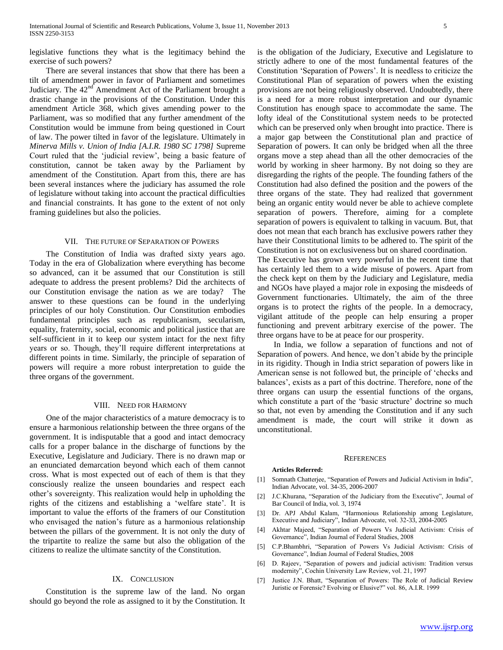legislative functions they what is the legitimacy behind the exercise of such powers?

 There are several instances that show that there has been a tilt of amendment power in favor of Parliament and sometimes Judiciary. The  $42<sup>nd</sup>$  Amendment Act of the Parliament brought a drastic change in the provisions of the Constitution. Under this amendment Article 368, which gives amending power to the Parliament, was so modified that any further amendment of the Constitution would be immune from being questioned in Court of law. The power tilted in favor of the legislature. Ultimately in *Minerva Mills v. Union of India [A.I.R. 1980 SC 1798]* Supreme Court ruled that the 'judicial review', being a basic feature of constitution, cannot be taken away by the Parliament by amendment of the Constitution. Apart from this, there are has been several instances where the judiciary has assumed the role of legislature without taking into account the practical difficulties and financial constraints. It has gone to the extent of not only framing guidelines but also the policies.

## VII. THE FUTURE OF SEPARATION OF POWERS

 The Constitution of India was drafted sixty years ago. Today in the era of Globalization where everything has become so advanced, can it be assumed that our Constitution is still adequate to address the present problems? Did the architects of our Constitution envisage the nation as we are today? The answer to these questions can be found in the underlying principles of our holy Constitution. Our Constitution embodies fundamental principles such as republicanism, secularism, equality, fraternity, social, economic and political justice that are self-sufficient in it to keep our system intact for the next fifty years or so. Though, they'll require different interpretations at different points in time. Similarly, the principle of separation of powers will require a more robust interpretation to guide the three organs of the government.

# VIII. NEED FOR HARMONY

 One of the major characteristics of a mature democracy is to ensure a harmonious relationship between the three organs of the government. It is indisputable that a good and intact democracy calls for a proper balance in the discharge of functions by the Executive, Legislature and Judiciary. There is no drawn map or an enunciated demarcation beyond which each of them cannot cross. What is most expected out of each of them is that they consciously realize the unseen boundaries and respect each other's sovereignty. This realization would help in upholding the rights of the citizens and establishing a 'welfare state'. It is important to value the efforts of the framers of our Constitution who envisaged the nation's future as a harmonious relationship between the pillars of the government. It is not only the duty of the tripartite to realize the same but also the obligation of the citizens to realize the ultimate sanctity of the Constitution.

# IX. CONCLUSION

 Constitution is the supreme law of the land. No organ should go beyond the role as assigned to it by the Constitution. It is the obligation of the Judiciary, Executive and Legislature to strictly adhere to one of the most fundamental features of the Constitution 'Separation of Powers'. It is needless to criticize the Constitutional Plan of separation of powers when the existing provisions are not being religiously observed. Undoubtedly, there is a need for a more robust interpretation and our dynamic Constitution has enough space to accommodate the same. The lofty ideal of the Constitutional system needs to be protected which can be preserved only when brought into practice. There is a major gap between the Constitutional plan and practice of Separation of powers. It can only be bridged when all the three organs move a step ahead than all the other democracies of the world by working in sheer harmony. By not doing so they are disregarding the rights of the people. The founding fathers of the Constitution had also defined the position and the powers of the three organs of the state. They had realized that government being an organic entity would never be able to achieve complete separation of powers. Therefore, aiming for a complete separation of powers is equivalent to talking in vacuum. But, that does not mean that each branch has exclusive powers rather they have their Constitutional limits to be adhered to. The spirit of the Constitution is not on exclusiveness but on shared coordination.

The Executive has grown very powerful in the recent time that has certainly led them to a wide misuse of powers. Apart from the check kept on them by the Judiciary and Legislature, media and NGOs have played a major role in exposing the misdeeds of Government functionaries. Ultimately, the aim of the three organs is to protect the rights of the people. In a democracy, vigilant attitude of the people can help ensuring a proper functioning and prevent arbitrary exercise of the power. The three organs have to be at peace for our prosperity.

 In India, we follow a separation of functions and not of Separation of powers. And hence, we don't abide by the principle in its rigidity. Though in India strict separation of powers like in American sense is not followed but, the principle of 'checks and balances', exists as a part of this doctrine. Therefore, none of the three organs can usurp the essential functions of the organs, which constitute a part of the 'basic structure' doctrine so much so that, not even by amending the Constitution and if any such amendment is made, the court will strike it down as unconstitutional.

#### **REFERENCES**

#### **Articles Referred:**

- [1] Somnath Chatterjee, "Separation of Powers and Judicial Activism in India", Indian Advocate, vol. 34-35, 2006-2007
- [2] J.C.Khurana, "Separation of the Judiciary from the Executive", Journal of Bar Council of India, vol. 3, 1974
- [3] Dr. APJ Abdul Kalam, "Harmonious Relationship among Legislature, Executive and Judiciary", Indian Advocate, vol. 32-33, 2004-2005
- [4] Akhtar Majeed, "Separation of Powers Vs Judicial Activism: Crisis of Governance", Indian Journal of Federal Studies, 2008
- [5] C.P.Bhambhri, "Separation of Powers Vs Judicial Activism: Crisis of Governance", Indian Journal of Federal Studies, 2008
- [6] D. Rajeev, "Separation of powers and judicial activism: Tradition versus modernity", Cochin University Law Review, vol. 21, 1997
- [7] Justice J.N. Bhatt, "Separation of Powers: The Role of Judicial Review Juristic or Forensic? Evolving or Elusive?" vol. 86, A.I.R. 1999